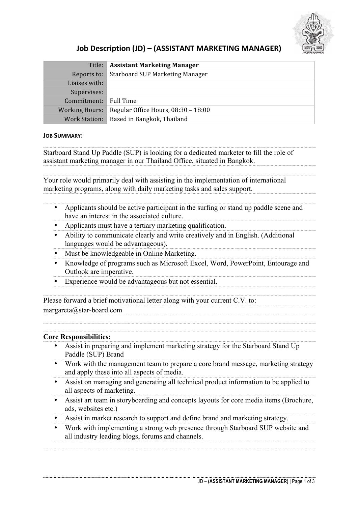

# **Job Description (JD) – (ASSISTANT MARKETING MANAGER)**

|                | Title:   Assistant Marketing Manager          |
|----------------|-----------------------------------------------|
|                | Reports to:   Starboard SUP Marketing Manager |
| Liaises with:  |                                               |
| Supervises:    |                                               |
| Commitment:    | $\mathbb I$ Full Time                         |
| Working Hours: | Regular Office Hours, 08:30 - 18:00           |
|                | Work Station:   Based in Bangkok, Thailand    |

### **JOB SUMMARY:**

Starboard Stand Up Paddle (SUP) is looking for a dedicated marketer to fill the role of assistant marketing manager in our Thailand Office, situated in Bangkok.

Your role would primarily deal with assisting in the implementation of international marketing programs, along with daily marketing tasks and sales support. 

- Applicants should be active participant in the surfing or stand up paddle scene and have an interest in the associated culture.
- Applicants must have a tertiary marketing qualification.
- Ability to communicate clearly and write creatively and in English. (Additional languages would be advantageous).
- Must be knowledgeable in Online Marketing.
- Knowledge of programs such as Microsoft Excel, Word, PowerPoint, Entourage and Outlook are imperative.
- Experience would be advantageous but not essential.

Please forward a brief motivational letter along with your current C.V. to: margareta@star-board.com

### **Core Responsibilities:**

- • Assist in preparing and implement marketing strategy for the Starboard Stand Up Paddle (SUP) Brand
- Work with the management team to prepare a core brand message, marketing strategy and apply these into all aspects of media.
- Assist on managing and generating all technical product information to be applied to all aspects of marketing.
- Assist art team in storyboarding and concepts layouts for core media items (Brochure, ads, websites etc.)
- Assist in market research to support and define brand and marketing strategy.
- Work with implementing a strong web presence through Starboard SUP website and all industry leading blogs, forums and channels.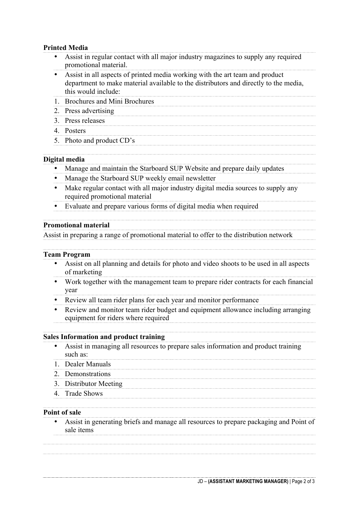## **Printed Media**

| Assist in regular contact with all major industry magazines to supply any required<br>promotional material.                                                                                 |
|---------------------------------------------------------------------------------------------------------------------------------------------------------------------------------------------|
| Assist in all aspects of printed media working with the art team and product<br>department to make material available to the distributors and directly to the media,<br>this would include: |
| <b>Brochures and Mini Brochures</b><br>$1_{-}$                                                                                                                                              |
| Press advertising<br>2.                                                                                                                                                                     |
| Press releases<br>3.                                                                                                                                                                        |
| 4. Posters                                                                                                                                                                                  |
| 5. Photo and product CD's                                                                                                                                                                   |
| Digital media                                                                                                                                                                               |
| Manage and maintain the Starboard SUP Website and prepare daily updates                                                                                                                     |
| Manage the Starboard SUP weekly email newsletter                                                                                                                                            |
| Make regular contact with all major industry digital media sources to supply any<br>required promotional material                                                                           |
| Evaluate and prepare various forms of digital media when required                                                                                                                           |
| <b>Promotional material</b>                                                                                                                                                                 |
| Assist in preparing a range of promotional material to offer to the distribution network                                                                                                    |
| <b>Team Program</b>                                                                                                                                                                         |
| Assist on all planning and details for photo and video shoots to be used in all aspects<br>of marketing                                                                                     |
| Work together with the management team to prepare rider contracts for each financial<br>year                                                                                                |
| Review all team rider plans for each year and monitor performance                                                                                                                           |
| Review and monitor team rider budget and equipment allowance including arranging<br>equipment for riders where required                                                                     |
| <b>Sales Information and product training</b>                                                                                                                                               |
| Assist in managing all resources to prepare sales information and product training<br>such as:                                                                                              |
| 1. Dealer Manuals                                                                                                                                                                           |
| 2. Demonstrations                                                                                                                                                                           |
| 3. Distributor Meeting                                                                                                                                                                      |
| 4. Trade Shows                                                                                                                                                                              |
| <b>Point of sale</b>                                                                                                                                                                        |
|                                                                                                                                                                                             |
|                                                                                                                                                                                             |